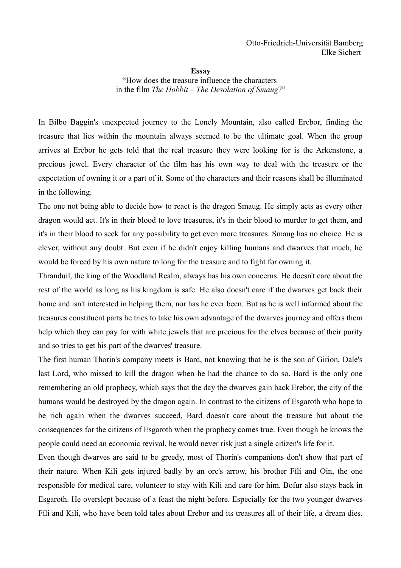**Essay**

"How does the treasure influence the characters in the film *The Hobbit – The Desolation of Smaug*?"

In Bilbo Baggin's unexpected journey to the Lonely Mountain, also called Erebor, finding the treasure that lies within the mountain always seemed to be the ultimate goal. When the group arrives at Erebor he gets told that the real treasure they were looking for is the Arkenstone, a precious jewel. Every character of the film has his own way to deal with the treasure or the expectation of owning it or a part of it. Some of the characters and their reasons shall be illuminated in the following.

The one not being able to decide how to react is the dragon Smaug. He simply acts as every other dragon would act. It's in their blood to love treasures, it's in their blood to murder to get them, and it's in their blood to seek for any possibility to get even more treasures. Smaug has no choice. He is clever, without any doubt. But even if he didn't enjoy killing humans and dwarves that much, he would be forced by his own nature to long for the treasure and to fight for owning it.

Thranduil, the king of the Woodland Realm, always has his own concerns. He doesn't care about the rest of the world as long as his kingdom is safe. He also doesn't care if the dwarves get back their home and isn't interested in helping them, nor has he ever been. But as he is well informed about the treasures constituent parts he tries to take his own advantage of the dwarves journey and offers them help which they can pay for with white jewels that are precious for the elves because of their purity and so tries to get his part of the dwarves' treasure.

The first human Thorin's company meets is Bard, not knowing that he is the son of Girion, Dale's last Lord, who missed to kill the dragon when he had the chance to do so. Bard is the only one remembering an old prophecy, which says that the day the dwarves gain back Erebor, the city of the humans would be destroyed by the dragon again. In contrast to the citizens of Esgaroth who hope to be rich again when the dwarves succeed, Bard doesn't care about the treasure but about the consequences for the citizens of Esgaroth when the prophecy comes true. Even though he knows the people could need an economic revival, he would never risk just a single citizen's life for it.

Even though dwarves are said to be greedy, most of Thorin's companions don't show that part of their nature. When Kili gets injured badly by an orc's arrow, his brother Fíli and Oin, the one responsible for medical care, volunteer to stay with Kili and care for him. Bofur also stays back in Esgaroth. He overslept because of a feast the night before. Especially for the two younger dwarves Fíli and Kili, who have been told tales about Erebor and its treasures all of their life, a dream dies.